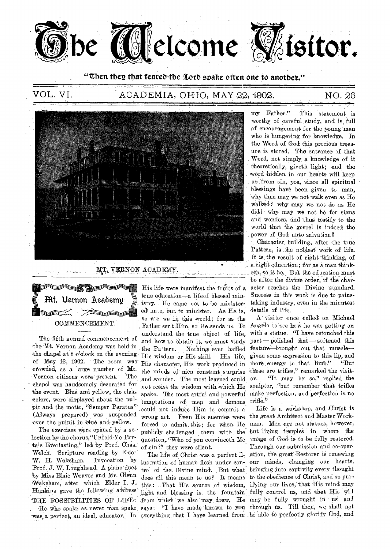

"Then they that feared the Lord spake often one to another."

# VOL. VI. ACADEMIA, OHIO, MAY 22, 1902. NO. 26



MT. VERNON ACADEMY.



The fifth annual commencement of the Mt. Vernon Academy was held in the chapel at 8 o'clock on the evening of May 12, 1902. The room was crowded, as a large number of Mt.<br>Vernon citizens were present. The Vernon citizens were present. chapel was-handsomely decorated for the event. Blue and yellow, the class colors, were displayed about the pulpit and the motto, "Semper Paratus" (Always prepared) was suspended over the pulpit in blue and yellow.

The exercises were opened by a selection by the chorus, "Unfold  $Ye$  Portals Everlasting," led by Prof. Chas. Welch. Scripture reading by Elder W. H. Wakeham. Invocation by Prof. J. W. Loughhead. A piano duet by Miss Elsie Weaver and Mr. Glenn Wakeham, after which Elder I. J. Hankins gave the following address THE POSSIBILITIES OF LIFE:

-was a perfect, an ideal, educator. In everything. that I have learned from .he 'able to perfectly glorify God, and

His life were manifest the fruits of a true education—a lifeof blessed ministry.. He. came not to be ministered unto, but to minister. As He is, so are we in this world; for as the Father sent Rim, so He ,sends us. To understand the true object of life, and how to obtain it, we must study the Pattern. Nothing ever baffled His wisdom or His skill. His life, His character, His work produced in the minds of men constant surprise and wonder. The most learned could not resist the wisdom with, which He spake. The most artful and powerful temptations of- men and demons' could, not induce Him to commit a wrong act. Even His enemies were forced to admit this; for when He publicly. challenged them . With. the question, "Who of you convinceth Me of  $\sin$ ?" they were silent.

The life of Christ was a perfect illustration of human flesh under con-\_ trol of the Divine mind. But what does all this mean to us? It means

my Father." This statement is worthy of careful study, and is full of encouragement for the young man who is hungering for knowledge. In the Word of God this precious treas- . ure is stored. The entrance of that Word, not simply, a knowledge of it theoretically, giveth light; and the . word hidden in our hearts will keep us from sin, yea, since all spiritual blessings have been given to man, why then may we not walk even as He :Walked? why may we not do as He did? why may we not be for signs and wonders, and thus testify to the world that the gospel is indeed the power of God unto salvation?

Character. building, after the true Pattern, is the noblest work of life. It is, the result of right thinking, of a right education; for as a man thinketh, so is he. But the education must he after the divine order, if the character reaches the Divine 'standard. Success in this work is due to painstaking industry, even in the minutest details. of life.

A-visitor once called on Michael Angelo to see how he was getting on with a statue. "I have retouched this part — polished that— softened this feature-brought out that musclegiven some expresSion to this lip, and more energy to that  $\lim_{b}$ ." "But these are trifles," remarked the visitor. "It may be so," replied the sculptor, "but remember that trifles make perfection, and perfection is no trifle."

He who spake as never man spake, says: "I have made known to you through us. Till then, we shall not this: That His source of wisdom, if ying our lives, that His mind may light and blessing is, the fountain fully control us, and that His will from which we also may draw. He may be fully wrought in us and Life is a workshop, and Christ is the great Architect and Master Workman. Men are not statues, however) but living temples in whom the image of. God is to be fully restored. Through our submission and co-oper-.wtion, the great Restorer is; renewing our minds, changing our hearts, bringing into captivity every thought to the obedience of Christ, and so pur-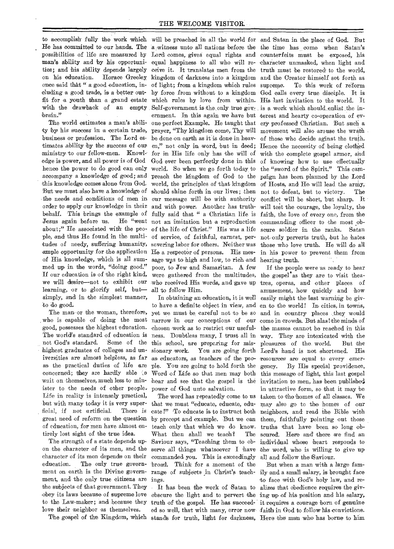to accomplish fully the work which will be preached in all the world for and Satan in the place of God. But He has committed to our hands. The a witness unto all nations before the the time has come when Satan's possibilities of life are measured by Lord comes, gives equal rights and counterfeits must be exposed, his man's ability and by his opportunities; and his ability depends largely on his education. Horace Greeley once said that " a good education, including a good trade, is a better outfit for a youth than a grand estate with the drawback of an empty brain."

The world estimates a man's ability by his success in a certain trade, business or profession. The Lord estimates ability by the success of our ministry to our fellow-men. Knowledge is power, and all power is of God hence the power to do good can only accompany a knowledge of good; and this knowledge comes alone from God. But we must also have a knowledge of the needs and conditions of men in order to apply our knowledge in their Jesus again before us. tudes of needy, suffering humanity, severing labor for others. Neither was those who love truth. He will do all ample opportunity for the application He a respector of persons. His mes- in his power to prevent them from med up in the words, "doing good." If our education is of the right kind, we will desire—not to exhibit our who received His words, and gave up tres, operas, and other places of learning, or to glorify self, but simply, and in the simplest manner, to do goad.

The man or the woman, therefore, Who is capable of doing the most good, possesses the highest education. The world's standard of education is not God's standard. Some of the highest graduates of colleges and universities are almost helpless, as far as the practical duties of life are concerned; they are hardly able  $\infty$ wait on themselves, much less to minister to the needs of other people. Life in reality is intensely practical, but with many today it is very superficial, if not artificial. There is great need of reform on the question of education, for men have almost entirely lost sight of the true idea.

The strength of a state depends upon the character of its men, and the character of its men depends on their education. The only true government on earth is the Divine government, and the only true citizens are the subjects of that government. They obey its laws because of supreme love to the Law-maker; and because they love their neighbor as themselves.

The gospel of the Kingdom, which

behalf. This brings the example of fully said that " a Christian life is faith, the love of every one, from the about;" He associated with the peo-of the life of Christ." His was a life scure soldier in the ranks. Satan ple, and thus He found in the multi-of service, of faithful, earnest, per-not-only perverts truth, 'but he hates of His knowledge, which is all sum-sage was to high and low, to rich and hearing truth. equal happiness to all who will re-character unmasked, when light and ceive it. It 'translates men from the truth must 'be restored to the world, kingdom of darkness into a kingdom and the Creator himself set forth as of light; from a kingdom which rules by force from without to a kingdom God calls every true disciple. It is which rules by love from within. His last invitation to the world. It ernment. In this again we have but terest and hearty co-operation of evone perfect Example. He taught that ery professed Christian. But such a prayer, "Thy kingdom come, Thy will movement will also arouse the wrath be done on earth as it is done in heav- of those who decide aginst the truth. en," not only in word, but in deed; Hence the necessity of being clothed for in His life only has the will of with the complete 'gospel armor, and God ever been perfectly done in this of knowing how to use effectually world. So when we go forth today to the "sword of the Spirit." This campreach the kingdom of God to the paign has been planned by the Lord world, the principles of 'that kingdom of Hosts, and He will lead the arniy, should shine forth in our lives; then not to defeat, but to victory. The and with power. Another has truth-will test the courage, the loyalty, the not an imitation but a reproduction commanding officer to the most obpoor, to Jew and Samaritan. A few were gathered from the multitudes, the gospel as they are to visit theaall to follow Him. Self-government is the only true gov<sub>z</sub> is a work which should enlist the in-

In obtaining an education, it is well to have a definite object in view, and en to the world! In cities, in towns, yet we must be careful not to be so and in country places they would narrow in our conceptions of our come in crowds. But alas! the minds of chosen work as to restrict our useful-the masses cannot be reached in this ness. Doubtless many, I trust all in way. They are intoxicated with the this school, are preparing for mis- pleasures of the world. But the sionary 'work. You are going forth Lord's hand is not shortened. His as educators, as teachers of the peo- resources are equal to every emerple. You are going to hold forth the gency. By His special providence, Word of Life so that men may both this message of light, this last gospel hear and see that the gospel is the invitation to men, has been published power of God unto salvation.

that we must "educate, educate, edu- may also go to the homes of our cate !" 'To educate is to instruct both neighbors, and read the Bible with by precept and example. But we can them, faithfully pointing out those teach only that which we do know. truths that have been so long ob-What then shall we teach? Saviour says, "Teaching them to ob-individual whose heart responds to serve all things whatsoever I have the word, who is willing to give up commanded you. This is exceedingly all and follow the Saviour. broad. Think for a moment of the ings.

stands for truth, light for darkness, Here the man who has borne to him

our message will be with authority conflict will be short, but sharp. It To this work of reform

The word has repeatedly come to us  $\,$  taken to the homes of all classes. We If the people were as ready to hear amusement, how quickly and how easily might the last warning be givin attractive form, so that it may be The scured. Here and there we find an

range of subjects in Christ's teach-ily and a small salary, is brought face It has been the work of Satan to alizes that obedience requires the givobscure the light and to pervert the ing up of his position and his salary, truth of the gospel. He has succeed- it requires a courage born of genuine ed so well, that with many, error now faith in God to follow his convictions. But when a man with a large- famto face with God's holy law, and re-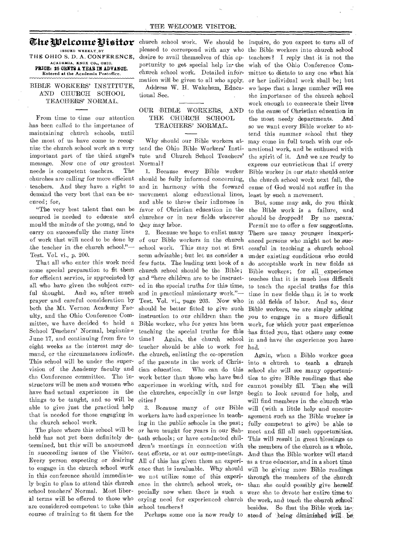## The Welcome Pisitor

ISSUED WEEKLY BY **THE OHIO S. D. A. CONFERENCE,**  ACADEMIA, KNOX CO., OHIO. PRICE: 25 OENTS A YEAR IN ADVANCE. Entered at the Academia Postoffice.

#### BIBLE WORKERS' INSTITUTE, AND CHURCH SCHOOL TEACHERS' NORMAL.

From time to time our attention has been called to the importance of maintaining church schools, until the most of us have come to recognize the church school work as a very important part of the third, angel's message. Now one of our greatest needs is competent teachers. The churches are calling for more efficient teachers. And they have a right to demand the very best that can be secured; for,

"The very best talent that can be secured is needed to educate and mould the minds of the young, and to carry on successfully the many lines of work that will need to be done by the teacher in the church school."— Test. Vol. vi., p. 200.

some special preparation to fit them church school should be the Bible; for efficient service, is appreciated by all who have given the subject careful thought. And so, after much prayer 'and careful consideration by both the Mt. Vernon Academy Faculty, and the Ohio Conference Committee, we 'have decided to hold a Bible worker, who for years has been School Teachers' Normal, beginning June 17, and continuing from five to eight weeks as the interest may demand, or the circumstances indicate. This school will be under the supervision of the Academy faculty and the Conference committee. The instructors will be men and women who have had 'actual' experience in the things to be 'taught, and so will be able to give just the practical help that is needed for those engaging in the church school work.

The place where this school will be held 'has not yet been definitely determined, but this' will be announced in succeeding issues of the Visitor. Every person expecting or desiring to engage in the church school work in this conference should immediately begin to plan to attend this church school teachers' Normal. Most liberal terms will be offered to those who are considered competent to take this course of training 'to fit them for the

pleased to correspond with any who the Bible workers into, church school portunity to get special help in the wish of the Ohio Conference Comchurch school work. Detailed information will be given to all who apply. Address' W. H. Wakeham, Educational Sec.

### OUR BIBLE WORKERS, AND THE CHURCH 'SCHOOL TEACHERS' NORMAL.

Why should our Bible workers attend the Ohio Bible Workers' Institute and Church School Teachers' Normal?

1. Because every Bible worker should be fully informed concerning, and in harmony with the forward movement along educational lines, and able to throw their influence in favor of Christian education in the churches or in new fields wherever they may labor.

That all who enter this work need few facts. The leading text book of a 2. Because we hope to enlist many of our Bible workers in the Church school work. This may not at first seem advisable; 'but let us consider a 'and "here children are to be instructed in the special truths for this time, and in practical missionary work."— Test. Vol. vi., page 203. Now who should be better fitted to give such instruction to our children than the teaching the special truths' for this time? Again, the 'church school teacher should be able to work for the church, enlisting the co-operation of the parents in the work of Christian education. Who can do this work better than those who have had experience in 'working with, and for the churches, especially in our large cities ?

3. Because many of our Bible workers have had experience in teaching in the public schools in the past; or have taught for years in our Sabbath schools; or have conducted children's meetings in connection with tent efforts, or 'at our camp-meetings. All of this has given them an experience that is invaluable. Why should we not utilize some of this experience in the church school work, especially now when there is such a crying need for experienced church school teachers?

Perhaps some one is now ready to stead of being diminished  $\frac{1}{N}$ .

church school work. We should be inquire, do you expect to turn all of desire to avail themselves of this op- teachers? I reply that it is not the mittee to dictate to any one what his or 'her individual work shall he; but we 'hope that a large number will see the importance of the church school work enough to consecrate their lives to the cause 'of Christian education in , the most needy departments. And so we want every Bible worker to attend this summer school that they may come in full touch with our educational work, and be enthused with the spirit of it. And we are ready to express our convictions that if every-Bible worker in our state should enter the church school work next fall, the cause of God would not suffer in the least by such a movement.

> But, some may ask, do you think the Bible work is a failure, and should be dropped? By no means. Permit me to offer a few suggestions. There are many younger inexperienced persons who might not be successful in teaching a Church school under existing conditions who could do acceptable work in new fields as Bible workers; for all experience teaches that it is much less difficult to teach the special truths for this time in new fields than it is to work in old fields of labor. And so, dear Bible workers, we are simply asking you to engage in a more difficult work, for which your past experience has fitted you, that others may come in and have the experience you have had.

> Again, when a Bible worker goes into a church to teach a Church school she will see many opportunities to give 'Bible readings that she 'cannot possibly fill. Then she will begin to look around for help, and will find members in the church who will (with a little help and encouragement such as the Bible worker is fully competent to give) be able to meet and fill all such opportunities. This will result in great blessings to 't'he members of the church as *'a* whole. And' thus the Bible worker will stand 'as a true educator, and in a short time will be giving more Bible readings. through the members of the church' than she could possibly give herselfwere she to devote her entire time to the work, and teach the church school besides. So that the Bible work in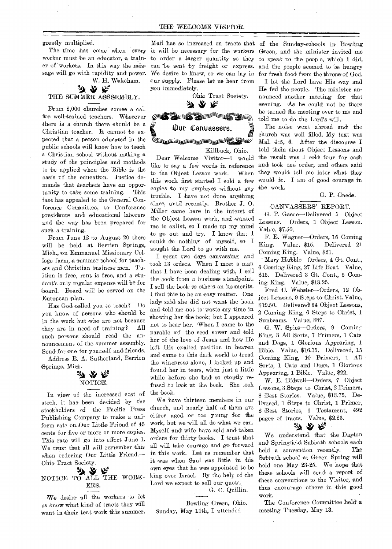greatly multiplied.

The time has come when every worker must be an educator, a trainer of workers. In this way the message will go with rapidity and power.

W. H. Wakeham. y y y THE SUMMER ASSSEMBLY.

From 2,000 churches comes a call for well-trained teachers. Wherever there is a church there should be a Christian teacher. It cannot be expected that a person educated in the public schools will know how to teach a Christian school without making a study of the principles and methods to be applied when the Bible is the basis of the education. Justice demands that teachers have an opportunity to take some training. This fact has appealed to the General Conference Committee, to. Conference presidents and educational laborers and the way has been prepared for such a training.

From June 12 to August 20 there will be held at Berrien Springs, Mich., on Emmanuel Missionary Callege farm, a summer school for teachers and Christian business men. Tuition is free, rent is free, and a student's only regular expense will be for board. Board will be served on the European plan.

Has Gad called you to teach? Do you know of persons who should. be in the work but who are not because they are in need of training? All such persons should read the announcement of the summer assembly. Send for one for yourself and friends.

Address E. A. Sutherland, Berrien Springs, Mich.



In view of the increased cost of stock, it hag been decided by the stockholders of the Pacific Press Publishing Company to make a uniform rate Our Little Friend of 45 cents for five or more or more copies. This rate will go into effect June 1. We trust that all will remember this when ordering Our Little Friend.—

# Ohio Tract Society. NOTICE TO ALL THE WORK-ERS.

We desire all the workers to let us know what kind 'of tracts they will want in their tent work this summer.

Mail has so' increased on tracts that of the 'Sunday-schools in Bowling can be sent by freight or express. our supply. Please let us hear from you immediately.



Killbuck, Ohio.

Dear Welcome Visitor—I would like to say a few words in reference to the Object Lesson work. When this work first started I sold a few copies to my employes without any trouble. I have not done anything since, until recently. Brother J. 0. Miller came here in the interst of the Object Lesson work, and wanted me to enlist, so I made up my mind to go out and try. I knew that I could do nothing of myself, so I sought the Lord to go with me.

I spent two days canvassing and took 13 orders. When I meet a man that I have been dealing with, I sell the book from a business standpoint. I sell the book to others on its merits. I find this to be an easy matter. One lady said she did not want the book and told me not to waste my time in showing her the book; but I appeared not to hear her. When I came to the parable of the seed sower and told her of the love of Jesus and how He left His exalted position in 'heaven and came to this dark world to 'tread the winepress alone, I looked up and found her in tears, when just a little while before she had so stoutly refused to look at the book. 'She took the hook.

We have thirteen members in our church, and nearly half of them are either aged or too young for the work, but we will all do what we can. Myself and wife have sold and taken orders for thirty books. I trust that all will take courage and go forward in this work. Let us remember that it was When Saul was little in his own eyes that he was appointed to be king over Israel. By the help of the Lord we expect to sell our quota.

G. C. Quillin.

Bowling Green, Ohio. Sunday, May 11th, I attended

it will be necessary *for* the workers Green, and the minister invited me to order a larger quantity so they to speak to the people, which I did, We desire to know, so we can lay in for fresh food from the throne of God. and the people seemed to 'be hungry

> I let the Lord have His way and He fed the people. The minister announced another meeting for that evening. As he could not be there he turned the meeting over to me and told me to do the Lord's will.

> The noise went abroad and the church was well filled. My text was Mal. 4:5, 6. After the discourse I told thein about Object Lessons and the result was I sold four for cash and took one order, and others said they' would tell me later what they would do. I am of good courage in the work.

#### G. P. Gaede.

#### 'CANVASSERS' REPORT.

G. P. Gaede—Delivered 5 Object Lessons. Orders, 1 Object Lesson. Value, \$7.50.

F. E. Wagner—Orders, 15 Coming King. Value, \$15. Delivered 21 Coming King. Value, \$21.

• Mary Hubble—Orders, 4 Gt. Cont., 6 Coming King, 27 Life Boat. Value, \$15. Delivered 3 Gt. Cont., 5 Coming King. Value, \$13.25.

Fred C. Webster-Orders, 12 Object Lessons., 9 Steps to Christ. Value, \$19.50. Delivered 64 Object Lessons, 2 Coming King, 6 Steps to Christ, 1 Sunbeams. Value, \$87.

G. W. Spies-Orders, 9 Coming King, 3 All Sorts, 7 Primers, 1 Cats and Dogs, 1 Glorious Appearing, 1 Bible. Value, \$16.75. Delivered, 15 Coming King, 10 Primers, 1 All Sorts, 1 Cats and Dogs, 1 Glorious Appearing, 1 Bible. Value, \$22.

W. E. Bidwell-Orders, 7 Object Lessons, 3 Steps to Christ, 2 Primers, 8 Best Stories. Value, \$13.75. Delivered, 1 Steps to Christ, 1 Primer, 2 Best Stories, 1 Testament, 492 pages of tracts. Value, \$2.26. n yr Re

We understand that the Dayton and Springfield Sabbath schools each held a convention recently. The Sabbath school at Green Spring will hold one May 23-25. We hope that these schools will send a report of these 'conventions to the Visitor, and thus encourage others in this good work.

The Conference Committee held a meeting Tuesday, May 13.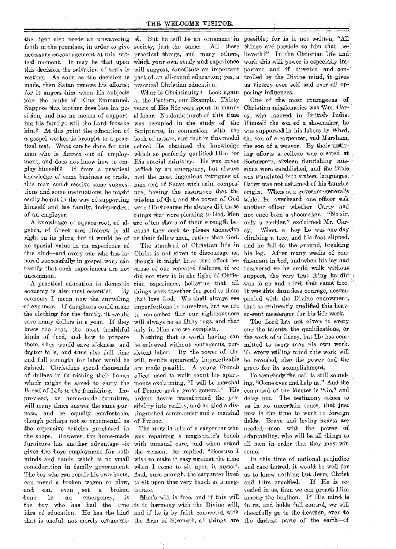faith in the promises, in order to give society, just the same. All these necessary encouragement at this crit-practical 'things, and many others, ical moment. It may be that upon which your own study and experience this decision the salvation of souls is will suggest, constitute an important resting. As soon as the decision is part of an all-round education; yes, a made, then Satan renews his efforts; practical Christian education. for it angers him when his subjects join the ranks of King Emmanuel. at the' Pattern, our Example. Thirty Suppose this brother does lose his po-years of His life were spent in manusition, and has no means of support-al labor. No doubt much of this time ing his family; will the Lord forsake was occupied in the study of the him? At this point the education of Scriptures, in connection with the a gospel worker is brought to a prac- book of nature, and that in this model tical test. What can be done for this school He obtained the knowledge man who is thrown out of employ-which so perfectly qualified Him for ment, and does not know how to em-His special ministry. He was never ploy himself? If from a practical baffled by an emergency, but always knowledge of some business or trade, met the most ingenious intrigues' of this man could receive some sugges- men and of Satan with calm compostions and some instructions, he might ure, having the assurance that the easily be put in the way of supporting wisdom of God and the power of God himself and his family, independent were His because-He always did those of an employer.

gebra, of Greek and Hebrew is all no special value in an experience of this kind—and every one who has labored successfully in gospel work can testify that such experiences are not uncommon.

economy is also most essential. economy I mean now the curtailing that love God. We shall always see of expenses. If daughters could make imperfections in ourselves, but we are the clothing for the family, 'it would to remember that our righteousness save many dollars in a year. If they will always be as filthy rags, and that knew the best, the most healthful only in Him are we complete. kinds of food, and how to prepare them, they would save sickness and be achieved without courageous, perdoctor bills, and thus also full time sistent labor. By the power of the gained. Christians spend thousands are made possible. A young French of dollars in' furnishing their homes officer used to walk about his apartwhich might be saved to carry the ments exclaiming, "I will be marshal Bread of Life to the famishing. Im- of France and a great general." His provised, or home-made furniture, ardent desire' transformed the poswill many times answer the same pur-sibility into reality, and he died a dispose, and be equally comfortable, tinguished commander and a marshal though perhaps not so ornamental as of France. the expensive articles purchased in the shops. However, the home-made was repairing a magistrate's bench furniture has another advantage—it with unusual care, and when asked gives 'the boys employment for both the reason, he replied, "Because I minds and hands, which is no small wish 'to make it easy 'against the time consideration in family government. when I come to sit upon it myself. The boy who can repair his own boots, And, sure enough, the carpenter lived can mend a broken wagon or plow, to sit upon that very bench as a magand can even set a broken istrate. and can even set a broken<br>bone in an emergency, is the boy who has had the true is in harmony with the Divine will, idea of education. He has the kind and if he, is by faith connected with that is useful, not merely ornament- the Arm of Strength, all things are the darkest parts of the earth--if

A knowledge of square-root, of al- are often shorn of their strength beright in its place, but it would be of or their fellow men, rather than God. What is Christianity? Look again things that were pleasing to God. Men cause they seek to please tnemselvs

A practical education in domestic tian experience, believing that all The standard of Christian life in Christ is not given to discourage us, though it might have that effect because of our repeated failures, if we did not view it in the light of Chris-By things work together for good to them

and full strength for labor would be will, results apparently impracticable Nothing that is worth having can

The story, is told of a carpenter who

Man's- will is free, and if this' will

the light also needs an unwavering al. But he will be an ornament in possible; for is it not written, "All things are possible to him that believeth?" In the Christian life and: work this will power is especially important, and if directed and controlled' by the Divine mind, it gives us victory over self and over all opposing influences.

> One of the most courageous of Christian missionaries was Wm. Carey, who labored in British India. Himself the son of a shoemaker, he *was* 'supported in his labors by 'Ward; the son of a carpenter, and Marsham, the son of a weaver. By their untiring efforts a college was erected at Serampore, sixteen flourishing missions were established, and the Bible was translated into sixteen languages. Carey was not ashamed of his humble origin. When at a governor-general's table, 'he 'overheard one officer ask another 'officer whether, Carey had not once been 'a shoemaker. "No sir, only a cobbler," exclaimed Mr. Carey. When a boy he was one day climbing a tree, and his foot slipped, and he fell to the ground, breaking his leg. After many weeks of confinement in bed, and when his leg had recovered so he could walk without support, the very first thing he did was to go and climb that Same' tree. It was this dauntless courage, accompanied with the Divine endowment, that so eminently qualified this heaven-sent messenger for his life work.

The Lord 'has not given to every 'one' 'the talents, the qualifications, or the,work of \a Carey, but He' has committed to' every man 'his own work. To every willing mind this work will be revealed, also the power and the grace for its acomplishment.

To somebody the call is still sounding, "Come over and help us:" And the command of the Master is "Go," and delay not. The testimony comes to us in no uncertain tones, that just now is the time to work in foreign fields. 'Brave and loving 'hearts' are needed—men with the power of adaptability, who will be all things to all men in order that they may win some.

In this time of national prejudice and race hatred, it would be well for us to know nothing but Jesus Christ and Him crucified. If He is revealed in us, then we' can preach Him among the heathen. If His mind is in us, and holds full control, we will cheerfully go to the heathen, even to